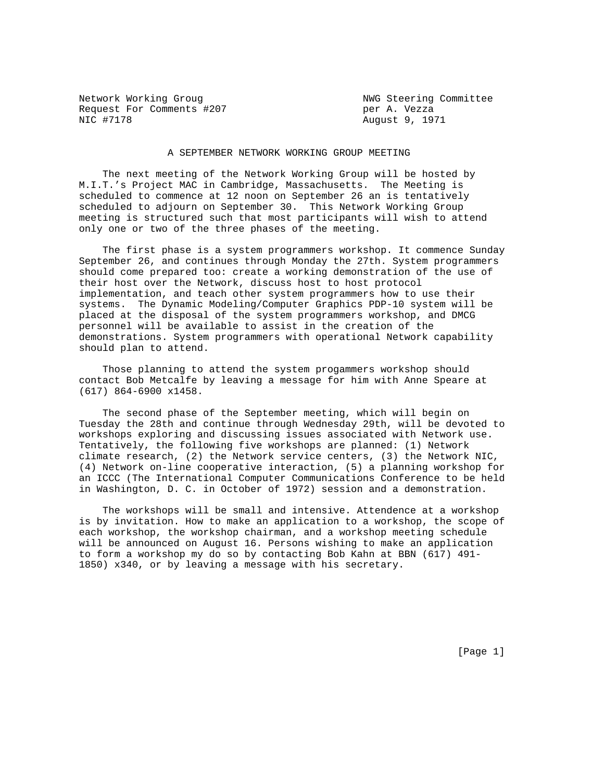Network Working Groug Network Working Committee Request For Comments #207 per A. Vezza NIC #7178 August 9, 1971

## A SEPTEMBER NETWORK WORKING GROUP MEETING

 The next meeting of the Network Working Group will be hosted by M.I.T.'s Project MAC in Cambridge, Massachusetts. The Meeting is scheduled to commence at 12 noon on September 26 an is tentatively scheduled to adjourn on September 30. This Network Working Group meeting is structured such that most participants will wish to attend only one or two of the three phases of the meeting.

 The first phase is a system programmers workshop. It commence Sunday September 26, and continues through Monday the 27th. System programmers should come prepared too: create a working demonstration of the use of their host over the Network, discuss host to host protocol implementation, and teach other system programmers how to use their systems. The Dynamic Modeling/Computer Graphics PDP-10 system will be placed at the disposal of the system programmers workshop, and DMCG personnel will be available to assist in the creation of the demonstrations. System programmers with operational Network capability should plan to attend.

 Those planning to attend the system progammers workshop should contact Bob Metcalfe by leaving a message for him with Anne Speare at (617) 864-6900 x1458.

 The second phase of the September meeting, which will begin on Tuesday the 28th and continue through Wednesday 29th, will be devoted to workshops exploring and discussing issues associated with Network use. Tentatively, the following five workshops are planned: (1) Network climate research, (2) the Network service centers, (3) the Network NIC, (4) Network on-line cooperative interaction, (5) a planning workshop for an ICCC (The International Computer Communications Conference to be held in Washington, D. C. in October of 1972) session and a demonstration.

 The workshops will be small and intensive. Attendence at a workshop is by invitation. How to make an application to a workshop, the scope of each workshop, the workshop chairman, and a workshop meeting schedule will be announced on August 16. Persons wishing to make an application to form a workshop my do so by contacting Bob Kahn at BBN (617) 491- 1850) x340, or by leaving a message with his secretary.

[Page 1]